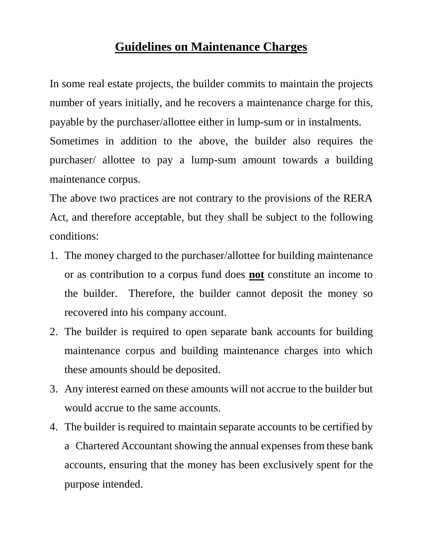## **Guidelines on Maintenance Charges**

In some real estate projects, the builder commits to maintain the projects number of years initially, and he recovers a maintenance charge for this, payable by the purchaser/allottee either in lump-sum or in instalments. Sometimes in addition to the above, the builder also requires the purchaser/ allottee to pay a lump-sum amount towards a building maintenance corpus.

The above two practices are not contrary to the provisions of the RERA Act, and therefore acceptable, but they shall be subject to the following conditions:

- 1. The money charged to the purchaser/allottee for building maintenance or as contribution to a corpus fund does **not** constitute an income to the builder. Therefore, the builder cannot deposit the money so recovered into his company account.
- 2. The builder is required to open separate bank accounts for building maintenance corpus and building maintenance charges into which these amounts should be deposited.
- 3. Any interest earned on these amounts will not accrue to the builder but would accrue to the same accounts.
- 4. The builder is required to maintain separate accounts to be certified by a Chartered Accountant showing the annual expenses from these bank accounts, ensuring that the money has been exclusively spent for the purpose intended.